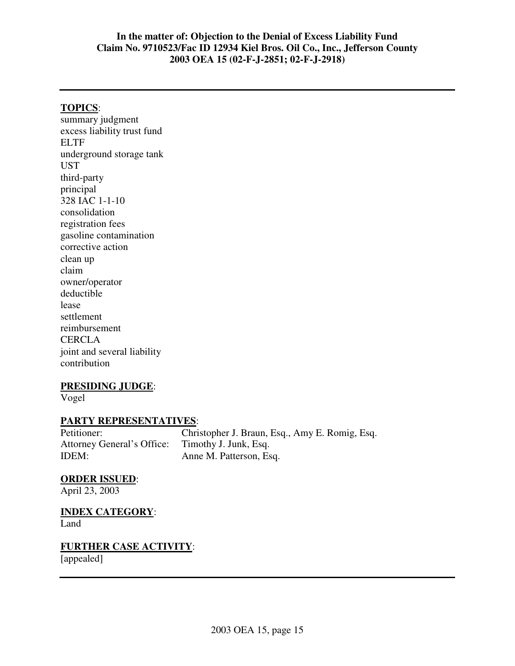#### **TOPICS**:

summary judgment excess liability trust fund ELTF underground storage tank UST third-party principal 328 IAC 1-1-10 consolidation registration fees gasoline contamination corrective action clean up claim owner/operator deductible lease settlement reimbursement CERCLA joint and several liability contribution

#### **PRESIDING JUDGE**:

Vogel

# **PARTY REPRESENTATIVES:**<br>Petitioner: Chri

Christopher J. Braun, Esq., Amy E. Romig, Esq. Attorney General's Office: Timothy J. Junk, Esq. IDEM: Anne M. Patterson, Esq.

#### **ORDER ISSUED**:

April 23, 2003

# **INDEX CATEGORY**:

Land

#### **FURTHER CASE ACTIVITY**: [appealed]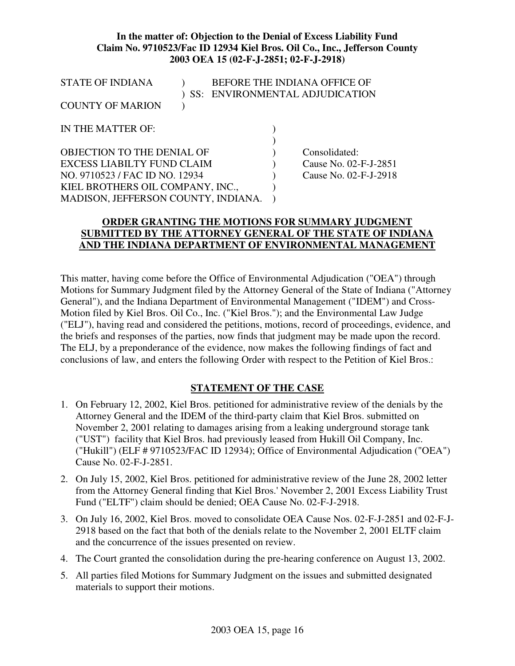| <b>STATE OF INDIANA</b>             |  |                       | BEFORE THE INDIANA OFFICE OF   |
|-------------------------------------|--|-----------------------|--------------------------------|
|                                     |  |                       | SS: ENVIRONMENTAL ADJUDICATION |
| <b>COUNTY OF MARION</b>             |  |                       |                                |
|                                     |  |                       |                                |
| IN THE MATTER OF:                   |  |                       |                                |
|                                     |  |                       |                                |
| OBJECTION TO THE DENIAL OF          |  |                       | Consolidated:                  |
| EXCESS LIABILTY FUND CLAIM          |  | Cause No. 02-F-J-2851 |                                |
| NO. 9710523 / FAC ID NO. 12934      |  |                       | Cause No. 02-F-J-2918          |
| KIEL BROTHERS OIL COMPANY, INC.,    |  |                       |                                |
| MADISON, JEFFERSON COUNTY, INDIANA. |  |                       |                                |
|                                     |  |                       |                                |

#### **ORDER GRANTING THE MOTIONS FOR SUMMARY JUDGMENT SUBMITTED BY THE ATTORNEY GENERAL OF THE STATE OF INDIANA AND THE INDIANA DEPARTMENT OF ENVIRONMENTAL MANAGEMENT**

This matter, having come before the Office of Environmental Adjudication ("OEA") through Motions for Summary Judgment filed by the Attorney General of the State of Indiana ("Attorney General"), and the Indiana Department of Environmental Management ("IDEM") and Cross-Motion filed by Kiel Bros. Oil Co., Inc. ("Kiel Bros."); and the Environmental Law Judge ("ELJ"), having read and considered the petitions, motions, record of proceedings, evidence, and the briefs and responses of the parties, now finds that judgment may be made upon the record. The ELJ, by a preponderance of the evidence, now makes the following findings of fact and conclusions of law, and enters the following Order with respect to the Petition of Kiel Bros.:

#### **STATEMENT OF THE CASE**

- 1. On February 12, 2002, Kiel Bros. petitioned for administrative review of the denials by the Attorney General and the IDEM of the third-party claim that Kiel Bros. submitted on November 2, 2001 relating to damages arising from a leaking underground storage tank ("UST") facility that Kiel Bros. had previously leased from Hukill Oil Company, Inc. ("Hukill") (ELF # 9710523/FAC ID 12934); Office of Environmental Adjudication ("OEA") Cause No. 02-F-J-2851.
- 2. On July 15, 2002, Kiel Bros. petitioned for administrative review of the June 28, 2002 letter from the Attorney General finding that Kiel Bros.'November 2, 2001 Excess Liability Trust Fund ("ELTF") claim should be denied; OEA Cause No. 02-F-J-2918.
- 3. On July 16, 2002, Kiel Bros. moved to consolidate OEA Cause Nos. 02-F-J-2851 and 02-F-J-2918 based on the fact that both of the denials relate to the November 2, 2001 ELTF claim and the concurrence of the issues presented on review.
- 4. The Court granted the consolidation during the pre-hearing conference on August 13, 2002.
- 5. All parties filed Motions for Summary Judgment on the issues and submitted designated materials to support their motions.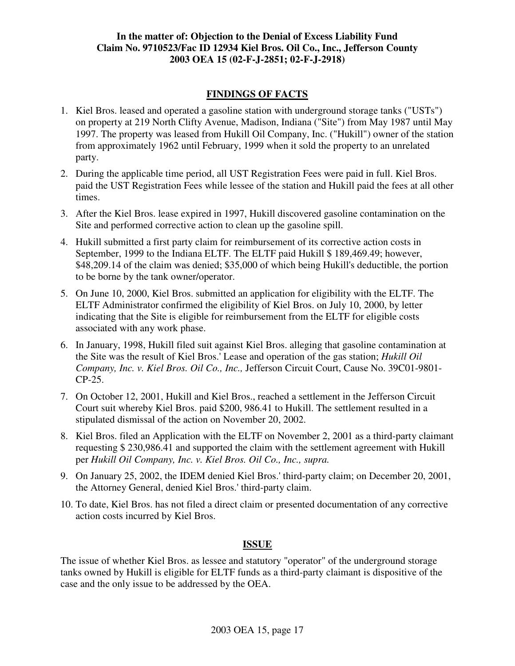## **FINDINGS OF FACTS**

- 1. Kiel Bros. leased and operated a gasoline station with underground storage tanks ("USTs") on property at 219 North Clifty Avenue, Madison, Indiana ("Site") from May 1987 until May 1997. The property was leased from Hukill Oil Company, Inc. ("Hukill") owner of the station from approximately 1962 until February, 1999 when it sold the property to an unrelated party.
- 2. During the applicable time period, all UST Registration Fees were paid in full. Kiel Bros. paid the UST Registration Fees while lessee of the station and Hukill paid the fees at all other times.
- 3. After the Kiel Bros. lease expired in 1997, Hukill discovered gasoline contamination on the Site and performed corrective action to clean up the gasoline spill.
- 4. Hukill submitted a first party claim for reimbursement of its corrective action costs in September, 1999 to the Indiana ELTF. The ELTF paid Hukill \$189,469.49; however, \$48,209.14 of the claim was denied; \$35,000 of which being Hukill's deductible, the portion to be borne by the tank owner/operator.
- 5. On June 10, 2000, Kiel Bros. submitted an application for eligibility with the ELTF. The ELTF Administrator confirmed the eligibility of Kiel Bros. on July 10, 2000, by letter indicating that the Site is eligible for reimbursement from the ELTF for eligible costs associated with any work phase.
- 6. In January, 1998, Hukill filed suit against Kiel Bros. alleging that gasoline contamination at the Site was the result of Kiel Bros.'Lease and operation of the gas station; *Hukill Oil Company, Inc. v. Kiel Bros. Oil Co., Inc.,* Jefferson Circuit Court, Cause No. 39C01-9801- CP-25.
- 7. On October 12, 2001, Hukill and Kiel Bros., reached a settlement in the Jefferson Circuit Court suit whereby Kiel Bros. paid \$200, 986.41 to Hukill. The settlement resulted in a stipulated dismissal of the action on November 20, 2002.
- 8. Kiel Bros. filed an Application with the ELTF on November 2, 2001 as a third-party claimant requesting \$ 230,986.41 and supported the claim with the settlement agreement with Hukill per *Hukill Oil Company, Inc. v. Kiel Bros. Oil Co., Inc., supra.*
- 9. On January 25, 2002, the IDEM denied Kiel Bros.'third-party claim; on December 20, 2001, the Attorney General, denied Kiel Bros.'third-party claim.
- 10. To date, Kiel Bros. has not filed a direct claim or presented documentation of any corrective action costs incurred by Kiel Bros.

# **ISSUE**

The issue of whether Kiel Bros. as lessee and statutory "operator" of the underground storage tanks owned by Hukill is eligible for ELTF funds as a third-party claimant is dispositive of the case and the only issue to be addressed by the OEA.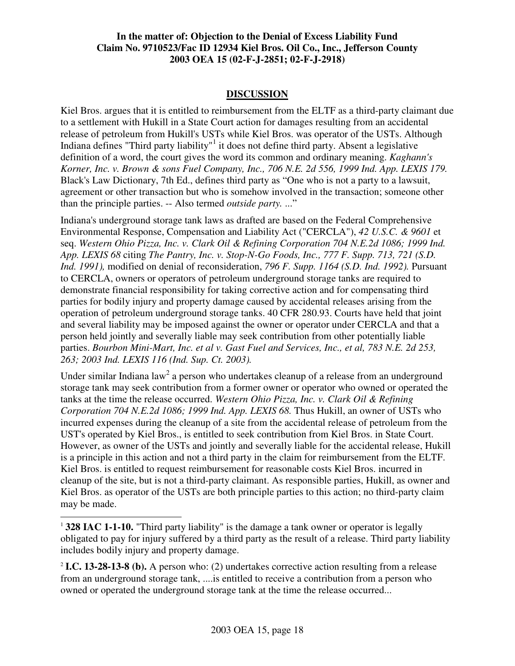### **DISCUSSION**

Kiel Bros. argues that it is entitled to reimbursement from the ELTF as a third-party claimant due to a settlement with Hukill in a State Court action for damages resulting from an accidental release of petroleum from Hukill's USTs while Kiel Bros. was operator of the USTs. Although Indiana defines "Third party liability"<sup>1</sup> it does not define third party. Absent a legislative definition of a word, the court gives the word its common and ordinary meaning. *Kaghann's Korner, Inc. v. Brown & sons Fuel Company, Inc., 706 N.E. 2d 556, 1999 Ind. App. LEXIS 179.* Black's Law Dictionary, 7th Ed., defines third party as "One who is not a party to a lawsuit, agreement or other transaction but who is somehow involved in the transaction; someone other than the principle parties. -- Also termed *outside party.* ..."

Indiana's underground storage tank laws as drafted are based on the Federal Comprehensive Environmental Response, Compensation and Liability Act ("CERCLA"), *42 U.S.C. & 9601* et seq. *Western Ohio Pizza, Inc. v. Clark Oil & Refining Corporation 704 N.E.2d 1086; 1999 Ind. App. LEXIS 68* citing *The Pantry, Inc. v. Stop-N-Go Foods, Inc., 777 F. Supp. 713, 721 (S.D. Ind. 1991),* modified on denial of reconsideration, *796 F. Supp. 1164 (S.D. Ind. 1992).* Pursuant to CERCLA, owners or operators of petroleum underground storage tanks are required to demonstrate financial responsibility for taking corrective action and for compensating third parties for bodily injury and property damage caused by accidental releases arising from the operation of petroleum underground storage tanks. 40 CFR 280.93. Courts have held that joint and several liability may be imposed against the owner or operator under CERCLA and that a person held jointly and severally liable may seek contribution from other potentially liable parties. *Bourbon Mini-Mart, Inc. et al v. Gast Fuel and Services, Inc., et al, 783 N.E. 2d 253, 263; 2003 Ind. LEXIS 116 (Ind. Sup. Ct. 2003).*

Under similar Indiana law<sup>2</sup> a person who undertakes cleanup of a release from an underground storage tank may seek contribution from a former owner or operator who owned or operated the tanks at the time the release occurred. *Western Ohio Pizza, Inc. v. Clark Oil & Refining Corporation 704 N.E.2d 1086; 1999 Ind. App. LEXIS 68.* Thus Hukill, an owner of USTs who incurred expenses during the cleanup of a site from the accidental release of petroleum from the UST's operated by Kiel Bros., is entitled to seek contribution from Kiel Bros. in State Court. However, as owner of the USTs and jointly and severally liable for the accidental release, Hukill is a principle in this action and not a third party in the claim for reimbursement from the ELTF. Kiel Bros. is entitled to request reimbursement for reasonable costs Kiel Bros. incurred in cleanup of the site, but is not a third-party claimant. As responsible parties, Hukill, as owner and Kiel Bros. as operator of the USTs are both principle parties to this action; no third-party claim may be made.

<sup>1</sup> **328 IAC 1-1-10.** "Third party liability" is the damage a tank owner or operator is legally obligated to pay for injury suffered by a third party as the result of a release. Third party liability includes bodily injury and property damage.

<sup>2</sup> **I.C. 13-28-13-8 (b).** A person who: (2) undertakes corrective action resulting from a release from an underground storage tank, ....is entitled to receive a contribution from a person who owned or operated the underground storage tank at the time the release occurred...